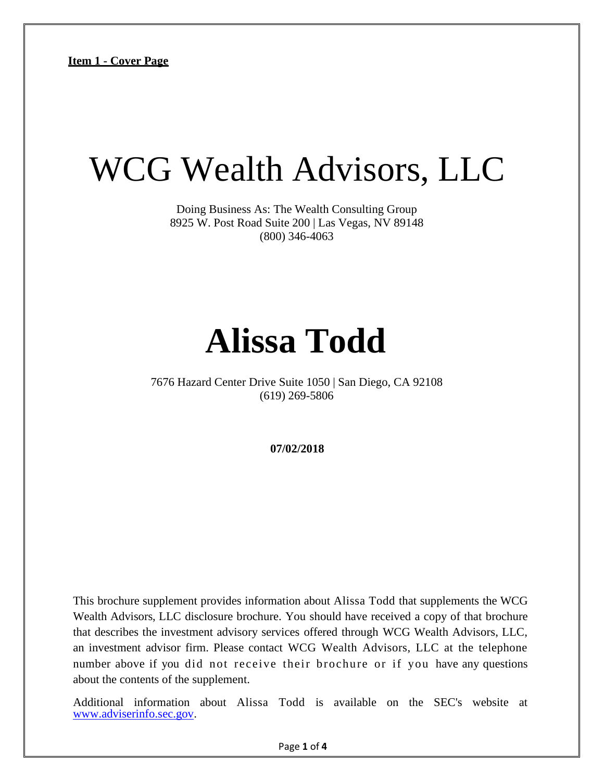## WCG Wealth Advisors, LLC

Doing Business As: The Wealth Consulting Group 8925 W. Post Road Suite 200 | Las Vegas, NV 89148 (800) 346-4063

# **Alissa Todd**

7676 Hazard Center Drive Suite 1050 | San Diego, CA 92108 (619) 269-5806

#### **07/02/2018**

This brochure supplement provides information about Alissa Todd that supplements the WCG Wealth Advisors, LLC disclosure brochure. You should have received a copy of that brochure that describes the investment advisory services offered through WCG Wealth Advisors, LLC, an investment advisor firm. Please contact WCG Wealth Advisors, LLC at the telephone number above if you did not receive their brochure or if you have any questions about the contents of the supplement.

Additional information about Alissa Todd is available on the SEC's website at [www.adviserinfo.sec.gov.](http://www.adviserinfo.sec.gov/)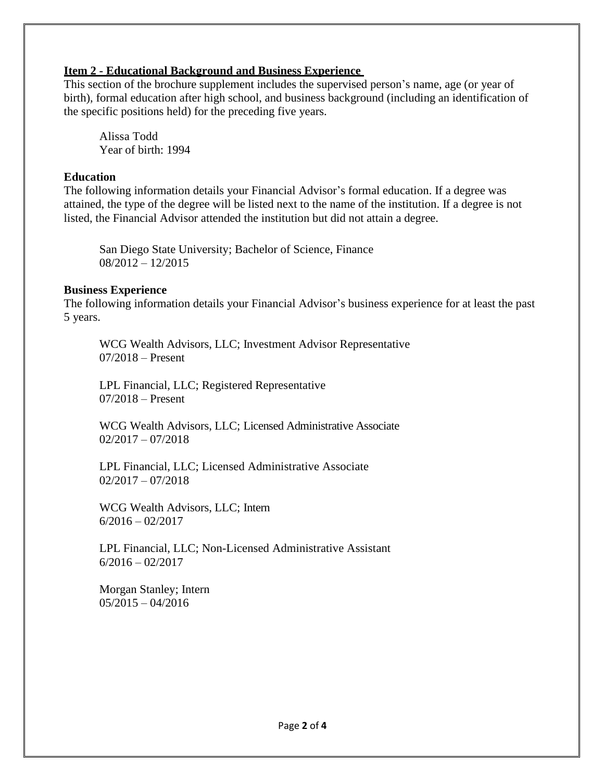### **Item 2 - Educational Background and Business Experience**

This section of the brochure supplement includes the supervised person's name, age (or year of birth), formal education after high school, and business background (including an identification of the specific positions held) for the preceding five years.

Alissa Todd Year of birth: 1994

#### **Education**

The following information details your Financial Advisor's formal education. If a degree was attained, the type of the degree will be listed next to the name of the institution. If a degree is not listed, the Financial Advisor attended the institution but did not attain a degree.

San Diego State University; Bachelor of Science, Finance  $08/2012 - 12/2015$ 

#### **Business Experience**

The following information details your Financial Advisor's business experience for at least the past 5 years.

WCG Wealth Advisors, LLC; Investment Advisor Representative 07/2018 – Present

LPL Financial, LLC; Registered Representative 07/2018 – Present

WCG Wealth Advisors, LLC; Licensed Administrative Associate  $02/2017 - 07/2018$ 

LPL Financial, LLC; Licensed Administrative Associate  $02/2017 - 07/2018$ 

WCG Wealth Advisors, LLC; Intern  $6/2016 - 02/2017$ 

LPL Financial, LLC; Non-Licensed Administrative Assistant  $6/2016 - 02/2017$ 

Morgan Stanley; Intern  $05/2015 - 04/2016$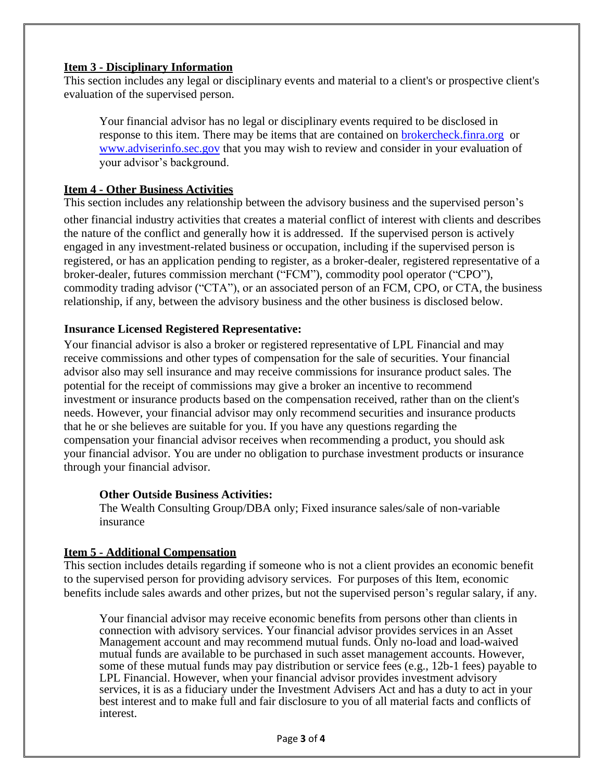### **Item 3 - Disciplinary Information**

This section includes any legal or disciplinary events and material to a client's or prospective client's evaluation of the supervised person.

Your financial advisor has no legal or disciplinary events required to be disclosed in response to this item. There may be items that are contained on [brokercheck.finra.org](http://brokercheck.finra.org/) or [www.adviserinfo.sec.gov](http://www.adviserinfo.sec.gov/) that you may wish to review and consider in your evaluation of your advisor's background.

### **Item 4 - Other Business Activities**

This section includes any relationship between the advisory business and the supervised person's other financial industry activities that creates a material conflict of interest with clients and describes the nature of the conflict and generally how it is addressed. If the supervised person is actively engaged in any investment-related business or occupation, including if the supervised person is registered, or has an application pending to register, as a broker-dealer, registered representative of a broker-dealer, futures commission merchant ("FCM"), commodity pool operator ("CPO"), commodity trading advisor ("CTA"), or an associated person of an FCM, CPO, or CTA, the business relationship, if any, between the advisory business and the other business is disclosed below.

#### **Insurance Licensed Registered Representative:**

Your financial advisor is also a broker or registered representative of LPL Financial and may receive commissions and other types of compensation for the sale of securities. Your financial advisor also may sell insurance and may receive commissions for insurance product sales. The potential for the receipt of commissions may give a broker an incentive to recommend investment or insurance products based on the compensation received, rather than on the client's needs. However, your financial advisor may only recommend securities and insurance products that he or she believes are suitable for you. If you have any questions regarding the compensation your financial advisor receives when recommending a product, you should ask your financial advisor. You are under no obligation to purchase investment products or insurance through your financial advisor.

#### **Other Outside Business Activities:**

The Wealth Consulting Group/DBA only; Fixed insurance sales/sale of non-variable insurance

#### **Item 5 - Additional Compensation**

This section includes details regarding if someone who is not a client provides an economic benefit to the supervised person for providing advisory services. For purposes of this Item, economic benefits include sales awards and other prizes, but not the supervised person's regular salary, if any.

Your financial advisor may receive economic benefits from persons other than clients in connection with advisory services. Your financial advisor provides services in an Asset Management account and may recommend mutual funds. Only no-load and load-waived mutual funds are available to be purchased in such asset management accounts. However, some of these mutual funds may pay distribution or service fees (e.g., 12b-1 fees) payable to LPL Financial. However, when your financial advisor provides investment advisory services, it is as a fiduciary under the Investment Advisers Act and has a duty to act in your best interest and to make full and fair disclosure to you of all material facts and conflicts of interest.